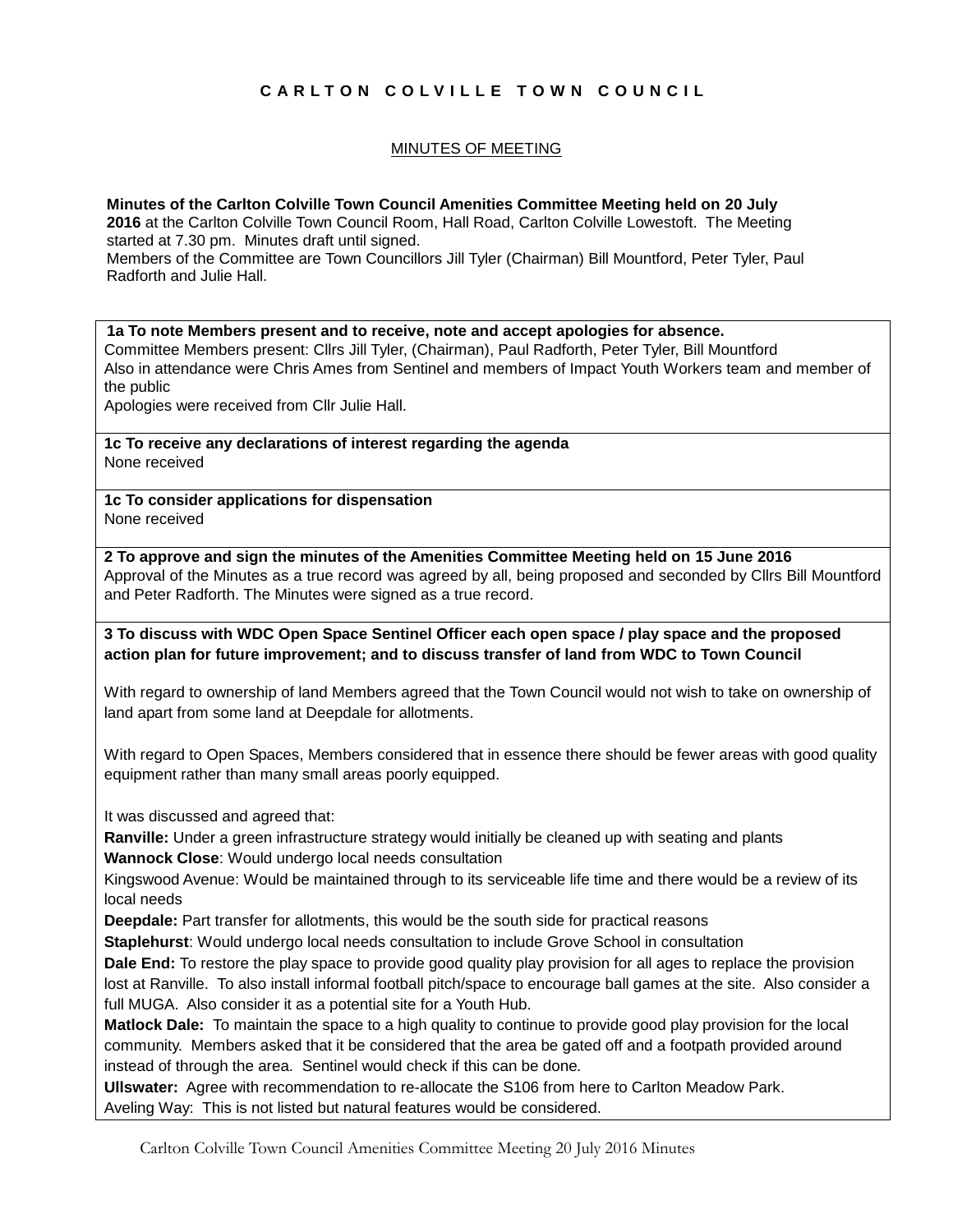# **C A R L T O N C O L V I L L E T O W N C O U N C I L**

# MINUTES OF MEETING

**Minutes of the Carlton Colville Town Council Amenities Committee Meeting held on 20 July** 2016 at the Carlton Colville Town Council Room, Hall Road, Carlton Colville Lowestoft. The Meeting started at 7.30 pm. Minutes draft until signed. Members of the Committee are Town Councillors Jill Tyler (Chairman) Bill Mountford, Peter Tyler, Paul Radforth and Julie Hall.

**1a To note Members present and to receive, note and accept apologies for absence.** Committee Members present: Cllrs Jill Tyler, (Chairman), Paul Radforth, Peter Tyler, Bill Mountford Also in attendance were Chris Ames from Sentinel and members of Impact Youth Workers team and member of the public

Apologies were received from Cllr Julie Hall.

**1c To receive any declarations of interest regarding the agenda** None received

**1c To consider applications for dispensation** None received

**2 To approve and sign the minutes of the Amenities Committee Meeting held on 15 June 2016** Approval of the Minutes as a true record was agreed by all, being proposed and seconded by Cllrs Bill Mountford and Peter Radforth. The Minutes were signed as a true record.

**3 To discuss with WDC Open Space Sentinel Officer each open space / play space and the proposed action plan for future improvement; and to discuss transfer of land from WDC to Town Council**

With regard to ownership of land Members agreed that the Town Council would not wish to take on ownership of land apart from some land at Deepdale for allotments.

With regard to Open Spaces, Members considered that in essence there should be fewer areas with good quality equipment rather than many small areas poorly equipped.

It was discussed and agreed that:

**Ranville:** Under a green infrastructure strategy would initially be cleaned up with seating and plants

**Wannock Close**: Would undergo local needs consultation

Kingswood Avenue: Would be maintained through to its serviceable life time and there would be a review of its local needs

**Deepdale:** Part transfer for allotments, this would be the south side for practical reasons

**Staplehurst**: Would undergo local needs consultation to include Grove School in consultation

**Dale End:** To restore the play space to provide good quality play provision for all ages to replace the provision lost at Ranville. To also install informal football pitch/space to encourage ball games at the site. Also consider a full MUGA. Also consider it as a potential site for a Youth Hub.

**Matlock Dale:** To maintain the space to a high quality to continue to provide good play provision for the local community. Members asked that it be considered that the area be gated off and a footpath provided around instead of through the area. Sentinel would check if this can be done*.*

**Ullswater:** Agree with recommendation to re-allocate the S106 from here to Carlton Meadow Park. Aveling Way: This is not listed but natural features would be considered.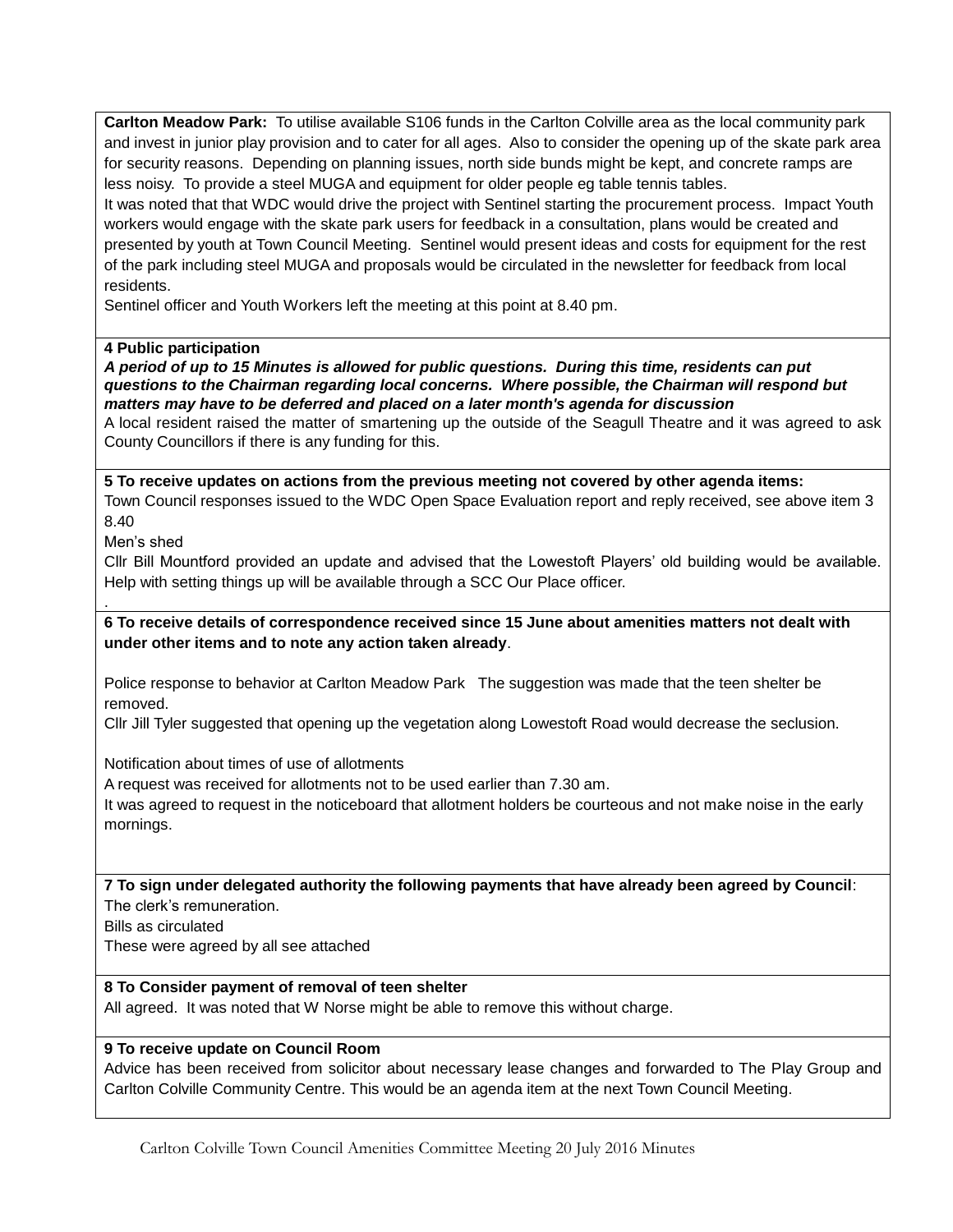**Carlton Meadow Park:** To utilise available S106 funds in the Carlton Colville area as the local community park and invest in junior play provision and to cater for all ages. Also to consider the opening up of the skate park area for security reasons. Depending on planning issues, north side bunds might be kept, and concrete ramps are less noisy. To provide a steel MUGA and equipment for older people eg table tennis tables.

It was noted that that WDC would drive the project with Sentinel starting the procurement process. Impact Youth workers would engage with the skate park users for feedback in a consultation, plans would be created and presented by youth at Town Council Meeting. Sentinel would present ideas and costs for equipment for the rest of the park including steel MUGA and proposals would be circulated in the newsletter for feedback from local residents.

Sentinel officer and Youth Workers left the meeting at this point at 8.40 pm.

## **4 Public participation**

*A period of up to 15 Minutes is allowed for public questions. During this time, residents can put questions to the Chairman regarding local concerns. Where possible, the Chairman will respond but matters may have to be deferred and placed on a later month's agenda for discussion*

A local resident raised the matter of smartening up the outside of the Seagull Theatre and it was agreed to ask County Councillors if there is any funding for this.

**5 To receive updates on actions from the previous meeting not covered by other agenda items:** Town Council responses issued to the WDC Open Space Evaluation report and reply received, see above item 3 8.40

Men's shed

.

Cllr Bill Mountford provided an update and advised that the Lowestoft Players' old building would be available. Help with setting things up will be available through a SCC Our Place officer.

**6 To receive details of correspondence received since 15 June about amenities matters not dealt with under other items and to note any action taken already**.

Police response to behavior at Carlton Meadow Park The suggestion was made that the teen shelter be removed.

Cllr Jill Tyler suggested that opening up the vegetation along Lowestoft Road would decrease the seclusion.

Notification about times of use of allotments

A request was received for allotments not to be used earlier than 7.30 am.

It was agreed to request in the noticeboard that allotment holders be courteous and not make noise in the early mornings.

**7 To sign under delegated authority the following payments that have already been agreed by Council**: The clerk's remuneration.

Bills as circulated

These were agreed by all see attached

## **8 To Consider payment of removal of teen shelter**

All agreed. It was noted that W Norse might be able to remove this without charge.

## **9 To receive update on Council Room**

Advice has been received from solicitor about necessary lease changes and forwarded to The Play Group and Carlton Colville Community Centre. This would be an agenda item at the next Town Council Meeting.